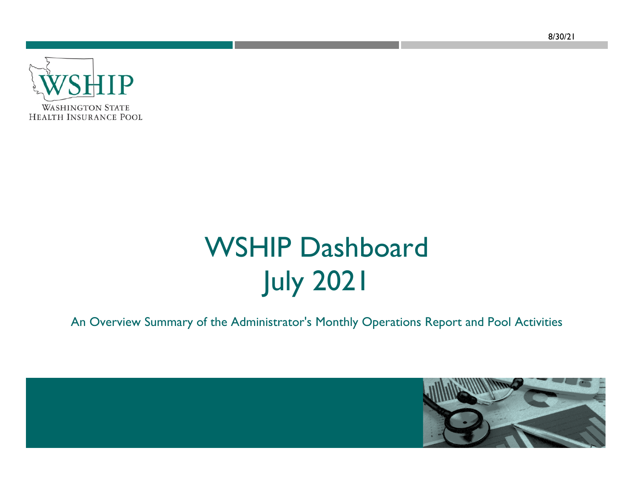8/30/21



# WSHIP Dashboard July 2021

An Overview Summary of the Administrator's Monthly Operations Report and Pool Activities

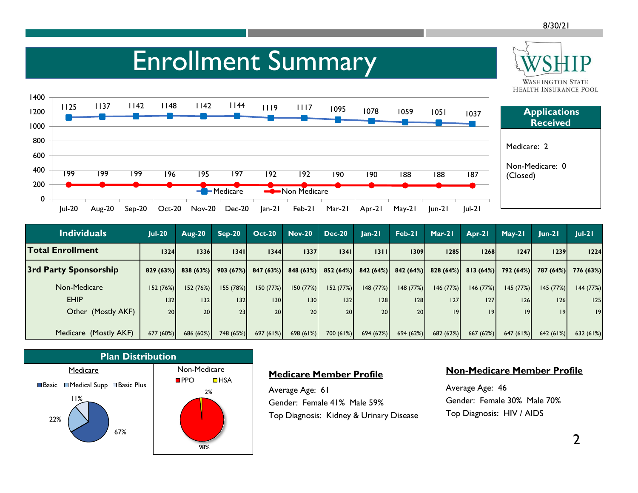#### Enrollment Summary **WASHINGTON STATE HEALTH INSURANCE POOL** 14005 1137 1142 1148 1142 1144 <sub>1119</sub> 1125 1117 1095 1078**Applications**  1059 10511200 1037**Received** 1000800Medicare: 2600Non-Medicare: 0 400199 199 199 197 192 192 196 195 190 190 188 188(Closed) 8 187 200**Medicare** Non Medicare 0Jul-20 Aug-20 Sep-20 Oct-20 Nov-20 Dec-20 Jan-21 Feb-21 Mar-21 Apr-21 May-21 Jun-21 Jul-21

| Individuals                  | $ ul-20 $ | Aug-20          | $Sep-20$  | $Oct-20$ | <b>Nov-20</b>        | <b>Dec-20</b> | $lan-2l$             | Feb-21          | $Mar-21$  | Apr-21               | $May-21$  | $lun-2l$  | $ ul-2 $  |
|------------------------------|-----------|-----------------|-----------|----------|----------------------|---------------|----------------------|-----------------|-----------|----------------------|-----------|-----------|-----------|
| <b>Total Enrollment</b>      | 1324      | 1336            | 1341      | 1344     | 1337                 | 1341          | 13111                | 1309            | 1285      | 1268                 | 1247      | 1239      | 1224      |
| <b>3rd Party Sponsorship</b> | 829(63%)  | 838 (63%)       | 903(67%)  |          | $847(63%)$ 848 (63%) |               | $852(64%)$ 842 (64%) | 842(64%)        |           | $828(64%)$ 813 (64%) | 792 (64%) | 787 (64%) | 776 (63%) |
| Non-Medicare                 | 152(76%)  | 152(76%)        | 155 (78%) | 150(77%) | 150 (77%)            | 152(77%)      | 148 (77%)            | 148 (77%)       | 146(77%)  | 146(77%)             | 145 (77%) | 145(77%)  | 144 (77%) |
| <b>EHIP</b>                  | 132       | 132             | 132       | 30       | 130 <sup>1</sup>     | 132           | 128                  | 28              | 127       | 127                  | 126       | 126       | 125       |
| Other (Mostly AKF)           | 20        | 20 <sub>1</sub> | 23        | 20       | 20                   | <b>20</b>     | 20                   | 20 <sup>1</sup> | 9         | 9                    | 19        | 19 I      | 19        |
|                              |           |                 |           |          |                      |               |                      |                 |           |                      |           |           |           |
| Medicare (Mostly AKF)        | 677(60%)  | 686 (60%)       | 748 (65%) | 697(61%) | 698(61%)             | 700(61%)      | 694 (62%)            | 694 (62%)       | 682 (62%) | 667 (62%)            | 647(61%)  | 642(61%)  | 632(61%)  |



### **Medicare Member Profile**

Average Age: 61 Gender: Female 41% Male 59%Top Diagnosis: Kidney & Urinary Disease

#### **Non-Medicare Member Profile**

Average Age: 46 Gender: Female 30% Male 70%Top Diagnosis: HIV / AIDS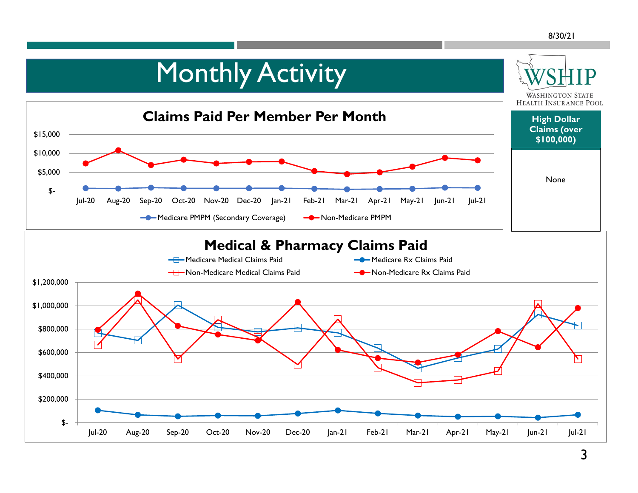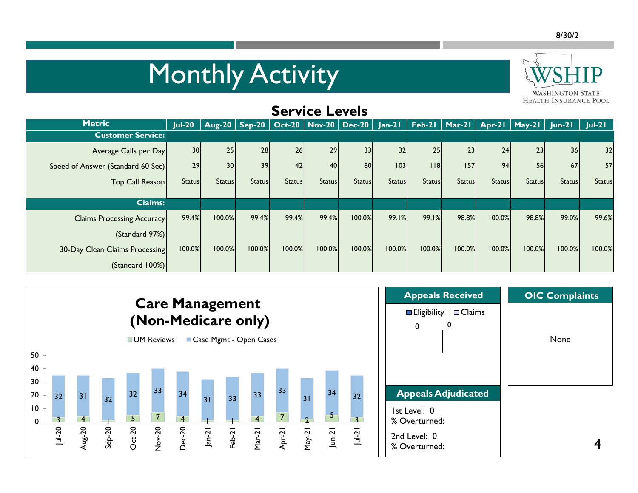## **Monthly Activity**



| <b>Service Levels</b>             |                 |                                            |               |               |               |               |               |               |               |               |                                                     |                 |               |
|-----------------------------------|-----------------|--------------------------------------------|---------------|---------------|---------------|---------------|---------------|---------------|---------------|---------------|-----------------------------------------------------|-----------------|---------------|
| <b>Metric</b>                     | $Jul-20$        | Aug-20   Sep-20   Oct-20   Nov-20   Dec-20 |               |               |               |               |               |               |               |               | Jan-21   Feb-21   Mar-21   Apr-21   May-21   Jun-21 |                 | $ ul-2 $      |
| <b>Customer Service:</b>          |                 |                                            |               |               |               |               |               |               |               |               |                                                     |                 |               |
| Average Calls per Day             | 30 <sup>1</sup> | 25                                         | 28            | 26            | 29            | 33            | 32            | 25            | 23            | 24            | 23                                                  | 36 <sup>1</sup> | 32            |
| Speed of Answer (Standard 60 Sec) | 29              | 30                                         | 39            | 42            | <b>40</b>     | 80            | 103           | 18            | 157           | 94            | <b>56</b>                                           | 67              | 57            |
| Top Call Reason                   | <b>Status</b>   | <b>Status</b>                              | <b>Status</b> | <b>Status</b> | <b>Status</b> | <b>Status</b> | <b>Status</b> | <b>Status</b> | <b>Status</b> | <b>Status</b> | <b>Status</b>                                       | <b>Status</b>   | <b>Status</b> |
| <b>Claims:</b>                    |                 |                                            |               |               |               |               |               |               |               |               |                                                     |                 |               |
| <b>Claims Processing Accuracy</b> | 99.4%           | 100.0%                                     | 99.4%         | 99.4%         | 99.4%         | 100.0%        | 99.1%         | 99.1%         | 98.8%         | 100.0%        | 98.8%                                               | 99.0%           | 99.6%         |
| (Standard 97%)                    |                 |                                            |               |               |               |               |               |               |               |               |                                                     |                 |               |
| 30-Day Clean Claims Processing    | 100.0%          | 100.0%                                     | 100.0%        | 100.0%        | 100.0%        | 100.0%        | 100.0%        | 100.0%        | 100.0%        | 100.0%        | 100.0%                                              | 100.0%          | 100.0%        |
| (Standard 100%)                   |                 |                                            |               |               |               |               |               |               |               |               |                                                     |                 |               |